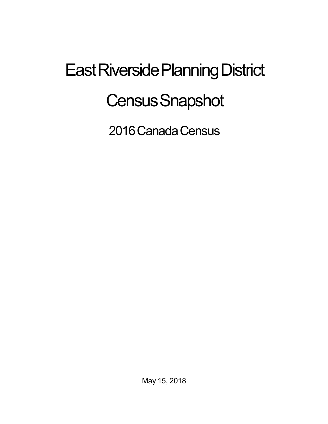## East Riverside Planning District **Census Snapshot**

2016 Canada Census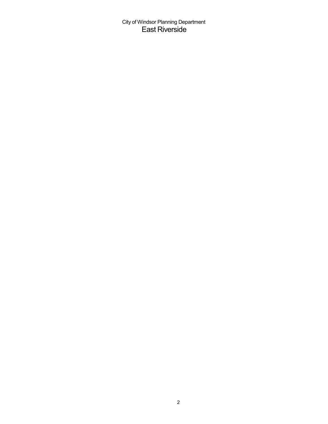City of Windsor Planning Department East Riverside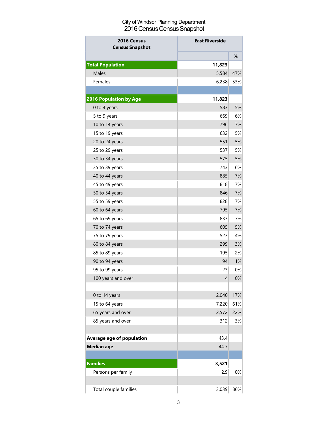## City of Windsor Planning Department 2016 Census Census Snapshot

| 2016 Census<br><b>Census Snapshot</b> | <b>East Riverside</b> |     |
|---------------------------------------|-----------------------|-----|
|                                       |                       | %   |
| <b>Total Population</b>               | 11,823                |     |
| Males                                 | 5,584                 | 47% |
| Females                               | 6,238                 | 53% |
|                                       |                       |     |
| <b>2016 Population by Age</b>         | 11,823                |     |
| 0 to 4 years                          | 583                   | 5%  |
| 5 to 9 years                          | 669                   | 6%  |
| 10 to 14 years                        | 796                   | 7%  |
| 15 to 19 years                        | 632                   | 5%  |
| 20 to 24 years                        | 551                   | 5%  |
| 25 to 29 years                        | 537                   | 5%  |
| 30 to 34 years                        | 575                   | 5%  |
| 35 to 39 years                        | 743                   | 6%  |
| 40 to 44 years                        | 885                   | 7%  |
| 45 to 49 years                        | 818                   | 7%  |
| 50 to 54 years                        | 846                   | 7%  |
| 55 to 59 years                        | 828                   | 7%  |
| 60 to 64 years                        | 795                   | 7%  |
| 65 to 69 years                        | 833                   | 7%  |
| 70 to 74 years                        | 605                   | 5%  |
| 75 to 79 years                        | 523                   | 4%  |
| 80 to 84 years                        | 299                   | 3%  |
| 85 to 89 years                        | 195                   | 2%  |
| 90 to 94 years                        | 94                    | 1%  |
| 95 to 99 years                        | 23                    | 0%  |
| 100 years and over                    | 4                     | 0%  |
|                                       |                       |     |
| 0 to 14 years                         | 2,040                 | 17% |
| 15 to 64 years                        | 7,220                 | 61% |
| 65 years and over                     | 2,572                 | 22% |
| 85 years and over                     | 312                   | 3%  |
|                                       |                       |     |
| <b>Average age of population</b>      | 43.4                  |     |
| <b>Median age</b>                     | 44.7                  |     |
|                                       |                       |     |
| <b>Families</b>                       | 3,521                 |     |
| Persons per family                    | 2.9                   | 0%  |
| Total couple families                 | 3,039                 | 86% |